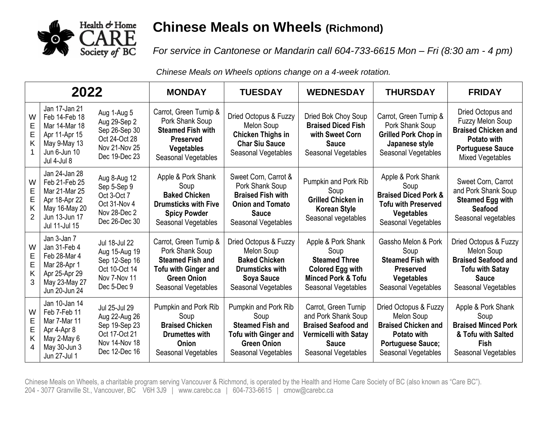

## **Chinese Meals on Wheels (Richmond)**

*For service in Cantonese or Mandarin call 604-733-6615 Mon – Fri (8:30 am - 4 pm)*

*Chinese Meals on Wheels options change on a 4-week rotation.*

| 2022                  |                                                                                                                     |                                                                                                    | <b>MONDAY</b>                                                                                                                                    | <b>TUESDAY</b>                                                                                                                        | <b>WEDNESDAY</b>                                                                                                                                 | <b>THURSDAY</b>                                                                                                                         | <b>FRIDAY</b>                                                                                                                      |
|-----------------------|---------------------------------------------------------------------------------------------------------------------|----------------------------------------------------------------------------------------------------|--------------------------------------------------------------------------------------------------------------------------------------------------|---------------------------------------------------------------------------------------------------------------------------------------|--------------------------------------------------------------------------------------------------------------------------------------------------|-----------------------------------------------------------------------------------------------------------------------------------------|------------------------------------------------------------------------------------------------------------------------------------|
| W<br>E<br>Ε<br>Κ      | Jan 17-Jan 21<br>Feb 14-Feb 18<br>Mar 14-Mar 18<br>Apr 11-Apr 15<br>May 9-May 13<br>Jun 6-Jun 10<br>Jul 4-Jul 8     | Aug 1-Aug 5<br>Aug 29-Sep 2<br>Sep 26-Sep 30<br>Oct 24-Oct 28<br>Nov 21-Nov 25<br>Dec 19-Dec 23    | Carrot, Green Turnip &<br>Pork Shank Soup<br><b>Steamed Fish with</b><br><b>Preserved</b><br><b>Vegetables</b><br>Seasonal Vegetables            | Dried Octopus & Fuzzy<br>Melon Soup<br><b>Chicken Thighs in</b><br><b>Char Siu Sauce</b><br>Seasonal Vegetables                       | Dried Bok Choy Soup<br><b>Braised Diced Fish</b><br>with Sweet Corn<br><b>Sauce</b><br>Seasonal Vegetables                                       | Carrot, Green Turnip &<br>Pork Shank Soup<br><b>Grilled Pork Chop in</b><br>Japanese style<br>Seasonal Vegetables                       | Dried Octopus and<br>Fuzzy Melon Soup<br><b>Braised Chicken and</b><br>Potato with<br><b>Portuguese Sauce</b><br>Mixed Vegetables  |
| W<br>E<br>κ           | Jan 24-Jan 28<br>Feb 21-Feb 25<br>Mar 21-Mar 25<br>Apr 18-Apr 22<br>May 16-May 20<br>Jun 13-Jun 17<br>Jul 11-Jul 15 | Aug 8-Aug 12<br>Sep 5-Sep 9<br>Oct 3-Oct 7<br>Oct 31-Nov 4<br>Nov 28-Dec 2<br>Dec 26-Dec 30        | Apple & Pork Shank<br>Soup<br><b>Baked Chicken</b><br><b>Drumsticks with Five</b><br><b>Spicy Powder</b><br>Seasonal Vegetables                  | Sweet Corn, Carrot &<br>Pork Shank Soup<br><b>Braised Fish with</b><br><b>Onion and Tomato</b><br><b>Sauce</b><br>Seasonal Vegetables | <b>Pumpkin and Pork Rib</b><br>Soup<br><b>Grilled Chicken in</b><br><b>Korean Style</b><br>Seasonal vegetables                                   | Apple & Pork Shank<br>Soup<br><b>Braised Diced Pork &amp;</b><br><b>Tofu with Preserved</b><br><b>Vegetables</b><br>Seasonal Vegetables | Sweet Corn, Carrot<br>and Pork Shank Soup<br><b>Steamed Egg with</b><br>Seafood<br>Seasonal vegetables                             |
| W<br>Е<br>E<br>Κ<br>3 | Jan 3-Jan 7<br>Jan 31-Feb 4<br>Feb 28-Mar 4<br>Mar 28-Apr 1<br>Apr 25-Apr 29<br>May 23-May 27<br>Jun 20-Jun 24      | Jul 18-Jul 22<br>Aug 15-Aug 19<br>Sep 12-Sep 16<br>Oct 10-Oct 14<br>Nov 7-Nov 11<br>Dec 5-Dec 9    | Carrot, Green Turnip &<br>Pork Shank Soup<br><b>Steamed Fish and</b><br><b>Tofu with Ginger and</b><br><b>Green Onion</b><br>Seasonal Vegetables | Dried Octopus & Fuzzy<br>Melon Soup<br><b>Baked Chicken</b><br><b>Drumsticks with</b><br><b>Soya Sauce</b><br>Seasonal Vegetables     | Apple & Pork Shank<br>Soup<br><b>Steamed Three</b><br><b>Colored Egg with</b><br><b>Minced Pork &amp; Tofu</b><br>Seasonal Vegetables            | Gassho Melon & Pork<br>Soup<br><b>Steamed Fish with</b><br><b>Preserved</b><br><b>Vegetables</b><br><b>Seasonal Vegetables</b>          | Dried Octopus & Fuzzy<br>Melon Soup<br><b>Braised Seafood and</b><br><b>Tofu with Satay</b><br><b>Sauce</b><br>Seasonal Vegetables |
| W<br>E<br>E<br>Κ      | Jan 10-Jan 14<br>Feb 7-Feb 11<br>Mar 7-Mar 11<br>Apr 4-Apr 8<br>May 2-May 6<br>May 30-Jun 3<br>Jun 27-Jul 1         | Jul 25-Jul 29<br>Aug 22-Aug 26<br>Sep 19-Sep 23<br>Oct 17-Oct 21<br>Nov 14-Nov 18<br>Dec 12-Dec 16 | Pumpkin and Pork Rib<br>Soup<br><b>Braised Chicken</b><br><b>Drumettes with</b><br>Onion<br>Seasonal Vegetables                                  | Pumpkin and Pork Rib<br>Soup<br><b>Steamed Fish and</b><br><b>Tofu with Ginger and</b><br><b>Green Onion</b><br>Seasonal Vegetables   | Carrot, Green Turnip<br>and Pork Shank Soup<br><b>Braised Seafood and</b><br><b>Vermicelli with Satay</b><br><b>Sauce</b><br>Seasonal Vegetables | Dried Octopus & Fuzzy<br>Melon Soup<br><b>Braised Chicken and</b><br>Potato with<br><b>Portuguese Sauce;</b><br>Seasonal Vegetables     | Apple & Pork Shank<br>Soup<br><b>Braised Minced Pork</b><br>& Tofu with Salted<br>Fish<br>Seasonal Vegetables                      |

Chinese Meals on Wheels, a charitable program serving Vancouver & Richmond, is operated by the Health and Home Care Society of BC (also known as "Care BC"). 204 - 3077 Granville St., Vancouver, BC V6H 3J9 | www.carebc.ca | 604-733-6615 | cmow@carebc.ca